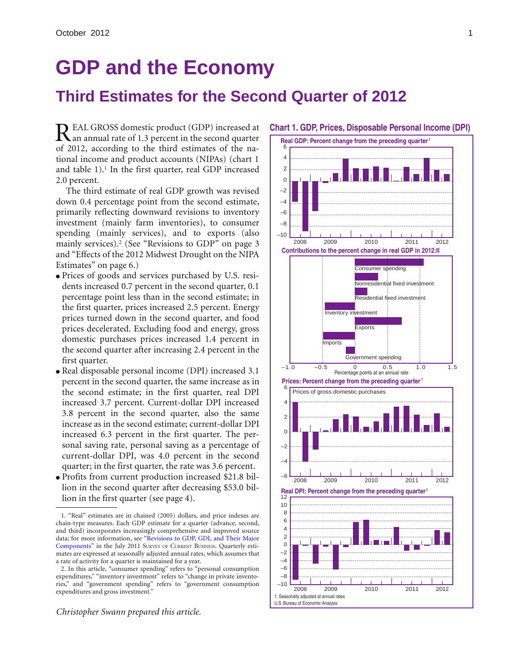# **GDP and the Economy**

## **Third Estimates for the Second Quarter of 2012**

EAL GROSS domestic product (GDP) increased at **Chart 1. GDP, Prices, Disposable Personal Income (DPI)** REAL GROSS domestic product (GDP) increased at<br>  $\mathbf{R}$  an annual rate of 1.3 percent in the second quarter of 2012, according to the third estimates of the national income and product accounts (NIPAs) (chart 1 and table 1).<sup>1</sup> In the first quarter, real GDP increased 2.0 percent.

The third estimate of real GDP growth was revised down 0.4 percentage point from the second estimate, primarily reflecting downward revisions to inventory investment (mainly farm inventories), to consumer spending (mainly services), and to exports (also mainly services).2 (See "Revisions to GDP" on page 3 and "Effects of the 2012 Midwest Drought on the NIPA Estimates" on page 6.)

- Prices of goods and services purchased by U.S. residents increased 0.7 percent in the second quarter, 0.1 percentage point less than in the second estimate; in the first quarter, prices increased 2.5 percent. Energy prices turned down in the second quarter, and food prices decelerated. Excluding food and energy, gross domestic purchases prices increased 1.4 percent in the second quarter after increasing 2.4 percent in the first quarter.
- Real disposable personal income (DPI) increased 3.1 percent in the second quarter, the same increase as in the second estimate; in the first quarter, real DPI increased 3.7 percent. Current-dollar DPI increased 3.8 percent in the second quarter, also the same increase as in the second estimate; current-dollar DPI increased 6.3 percent in the first quarter. The personal saving rate, personal saving as a percentage of current-dollar DPI, was 4.0 percent in the second quarter; in the first quarter, the rate was 3.6 percent.
- Profits from current production increased \$21.8 billion in the second quarter after decreasing \$53.0 billion in the first quarter (see page 4).

*Christopher Swann prepared this article.*



<sup>1. &</sup>quot;Real" estimates are in chained (2005) dollars, and price indexes are chain-type measures. Each GDP estimate for a quarter (advance, second, and third) incorporates increasingly comprehensive and improved source data; for more information, se[e "Revisions to GDP, GDI, and Their Major](http://www.bea.gov/scb/pdf/2011/07%20July/0711_revisions.pdf) [Components"](http://www.bea.gov/scb/pdf/2011/07%20July/0711_revisions.pdf) in the July 2011 SURVEY OF CURRENT BUSINESS. Quarterly estimates are expressed at seasonally adjusted annual rates, which assumes that a rate of activity for a quarter is maintained for a year.

<sup>2.</sup> In this article, "consumer spending" refers to "personal consumption expenditures," "inventory investment" refers to "change in private inventories," and "government spending" refers to "government consumption expenditures and gross investment."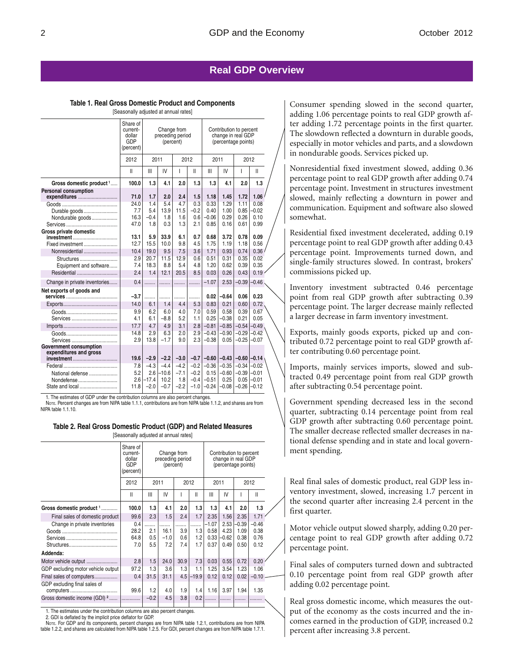### **Real GDP Overview**

#### **Table 1. Real Gross Domestic Product and Components** [Seasonally adjusted at annual rates]

|                                                                                                  | [Seasonally adjusted at annual rates]                                                                                                                                      |                                              |                                               |                                             |                                                |                                                  |                                                  |                                                  |                                                     |
|--------------------------------------------------------------------------------------------------|----------------------------------------------------------------------------------------------------------------------------------------------------------------------------|----------------------------------------------|-----------------------------------------------|---------------------------------------------|------------------------------------------------|--------------------------------------------------|--------------------------------------------------|--------------------------------------------------|-----------------------------------------------------|
|                                                                                                  | Share of<br>current-<br>Change from<br>Contribution to percent<br>change in real GDP<br>dollar<br>preceding period<br>GDP<br>(percent)<br>(percentage points)<br>(percent) |                                              |                                               |                                             |                                                |                                                  |                                                  |                                                  |                                                     |
|                                                                                                  | 2012                                                                                                                                                                       | 2011                                         |                                               |                                             | 2012                                           |                                                  | 2011                                             |                                                  | 2012                                                |
|                                                                                                  | Ш                                                                                                                                                                          | Ш                                            | IV                                            | I                                           | Ш                                              | Ш                                                | IV                                               | T                                                | Ш                                                   |
| Gross domestic product 1                                                                         | 100.0                                                                                                                                                                      | 1.3                                          | 4.1                                           | 2.0                                         | 1.3                                            | 1.3                                              | 4.1                                              | 2.0                                              | 1.3                                                 |
| <b>Personal consumption</b><br>expenditures<br>Durable goods<br>Nondurable goods                 | 71.0<br>24.0<br>7.7<br>16.3                                                                                                                                                | 1.7<br>1.4<br>5.4<br>$-0.4$                  | 2.0<br>5.4<br>13.9<br>1.8                     | 2.4<br>4.7<br>11.5<br>1.6                   | 1.5<br>0.3<br>$-0.2$<br>0.6                    | 1.18<br>0.33<br>0.40<br>$-0.06$                  | 1.45<br>1.29<br>1.00<br>0.29                     | 1.72<br>1.11<br>0.85<br>0.26                     | 1.06<br>0.08<br>$-0.02$<br>0.10                     |
| Gross private domestic<br>investment<br>Fixed investment<br>Nonresidential                       | 47.0<br>13.1<br>12.7<br>10.4                                                                                                                                               | 1.8<br>5.9<br>15.5<br>19.0                   | 0.3<br>33.9<br>10.0<br>9.5                    | 1.3<br>6.1<br>9.8<br>7.5                    | 2.1<br>0.7<br>4.5<br>3.6                       | 0.85<br>0.68<br>1.75<br>1.71                     | 0.16<br>3.72<br>1.19<br>0.93                     | 0.61<br>0.78<br>1.18<br>0.74                     | 0.99<br>0.09<br>0.56<br>0.36                        |
| Structures<br>Equipment and software<br>Residential                                              | 2.9<br>7.4<br>2.4                                                                                                                                                          | 20.7<br>18.3<br>1.4                          | 11.5<br>8.8<br>12.1                           | 12.9<br>5.4<br>20.5                         | 0.6<br>4.8<br>8.5                              | 0.51<br>1.20<br>0.03                             | 0.31<br>0.62<br>0.26                             | 0.35<br>0.39<br>0.43                             | 0.02<br>0.35<br>0.19                                |
| Change in private inventories                                                                    | 0.4                                                                                                                                                                        | .                                            | .                                             | .                                           | .                                              | $-1.07$                                          | 2.53                                             | $-0.39$                                          | $-0.46$                                             |
| Net exports of goods and                                                                         | $-3.7$                                                                                                                                                                     | .                                            | .                                             | .                                           | .                                              | 0.02                                             | $-0.64$                                          | 0.06                                             | 0.23                                                |
| Services                                                                                         | 14.0<br>9.9<br>4.1<br>17.7                                                                                                                                                 | 6.1<br>6.2<br>6.1<br>4.7                     | 1.4<br>6.0<br>$-8.8$<br>4.9                   | 4.4<br>4.0<br>5.2                           | 5.3<br>7.0<br>1.1<br>2.8                       | 0.83<br>0.59<br>0.25<br>$-0.81$                  | 0.21<br>0.58<br>$-0.38$                          | 0.60<br>0.39<br>0.21<br>$-0.54$                  | 0.72<br>0.67<br>0.05<br>$-0.49$                     |
| Services                                                                                         | 14.8<br>2.9                                                                                                                                                                | 2.9<br>13.8                                  | 6.3<br>$-1.7$                                 | 3.1<br>2.0<br>9.0                           | 2.9<br>2.3                                     | $-0.43$<br>$-0.38$                               | $-0.85$<br>$-0.90$<br>0.05                       | $-0.29$<br>$-0.25$                               | $-0.42$<br>$-0.07$                                  |
| Government consumption<br>expenditures and gross<br>investment<br>National defense<br>Nondefense | 19.6<br>7.8<br>5.2<br>2.6<br>11.8                                                                                                                                          | $-2.9$<br>$-4.3$<br>2.6<br>$-17.4$<br>$-2.0$ | $-2.2$<br>$-4.4$<br>$-10.6$<br>10.2<br>$-0.7$ | $-3.0$<br>$-4.2$<br>$-7.1$<br>1.8<br>$-2.2$ | $-0.7$<br>$-0.2$<br>$-0.2$<br>$-0.4$<br>$-1.0$ | $-0.60$<br>$-0.36$<br>0.15<br>$-0.51$<br>$-0.24$ | $-0.43$<br>$-0.35$<br>$-0.60$<br>0.25<br>$-0.08$ | $-0.60$<br>$-0.34$<br>$-0.39$<br>0.05<br>$-0.26$ | $-0.14$<br>$-0.02$<br>$-0.01$<br>$-0.01$<br>$-0.12$ |

1. The estimates of GDP under the contribution columns are also percent changes.

NOTE. Percent changes are from NIPA table 1.1.1, contributions are from NIPA table 1.1.2, and shares are from NIPA table 1.1.10.

#### **Table 2. Real Gross Domestic Product (GDP) and Related Measures**

| [Seasonally adjusted at annual rates] |
|---------------------------------------|
|---------------------------------------|

|                                          | Share of<br>current-<br>dollar<br>GDP<br>(percent) | Change from<br>preceding period<br>(percent) |        |      |         |         |         | Contribution to percent<br>change in real GDP<br>(percentage points) |              |  |  |
|------------------------------------------|----------------------------------------------------|----------------------------------------------|--------|------|---------|---------|---------|----------------------------------------------------------------------|--------------|--|--|
|                                          | 2012                                               | 2011<br>2012                                 |        | 2011 |         | 2012    |         |                                                                      |              |  |  |
|                                          | $\mathsf{I}$                                       | Ш                                            | IV     |      | Ш       | Ш       | IV      |                                                                      | $\mathsf{I}$ |  |  |
| Gross domestic product 1                 | 100.0                                              | 1.3                                          | 4.1    | 2.0  | 1.3     | 1.3     | 4.1     | 2.0                                                                  | 1.3          |  |  |
| Final sales of domestic product          | 99.6                                               | 2.3                                          | 1.5    | 2.4  | 1.7     | 2.35    | 1.56    | 2.35                                                                 | 1.71         |  |  |
| Change in private inventories            | 0.4                                                |                                              | .      |      |         | $-1.07$ | 2.53    | $-0.39$                                                              | $-0.46$      |  |  |
|                                          | 28.2                                               | 2.1                                          | 16.1   | 3.9  | 1.3     | 0.58    | 4.23    | 1.09                                                                 | 0.38         |  |  |
|                                          | 64.8                                               | 0.5                                          | $-1.0$ | 0.6  | 1.2     | 0.33    | $-0.62$ | 0.38                                                                 | 0.76         |  |  |
|                                          | 7.0                                                | 5.5                                          | 7.2    | 7.4  | 1.7     | 0.37    | 0.49    | 0.50                                                                 | 0.12         |  |  |
| Addenda:                                 |                                                    |                                              |        |      |         |         |         |                                                                      |              |  |  |
| Motor vehicle output                     | 2.8                                                | 1.5                                          | 24.0   | 30.9 | 7.3     | 0.03    | 0.55    | 0.72                                                                 | 0.20         |  |  |
| GDP excluding motor vehicle output       | 97.2                                               | 1.3                                          | 3.6    | 1.3  | 1.1     | 1.25    | 3.54    | 1.23                                                                 | 1.06         |  |  |
| Final sales of computers                 | 0.4                                                | 31.5                                         | 31.1   | 4.5  | $-19.9$ | 0.12    | 0.12    | 0.02                                                                 | $-0.10$      |  |  |
| GDP excluding final sales of             | 99.6                                               | 1.2                                          | 4.0    | 1.9  | 1.4     | 1.16    | 3.97    | 1.94                                                                 | 1.35         |  |  |
| Gross domestic income (GDI) <sup>2</sup> |                                                    | $-0.2$                                       | 4.5    | 3.8  | 0.2     |         |         |                                                                      |              |  |  |
|                                          |                                                    |                                              |        |      |         |         |         |                                                                      |              |  |  |

1. The estimates under the contribution columns are also percent changes.

2. GDI is deflated by the implicit price deflator for GDP.

NOTE. For GDP and its components, percent changes are from NIPA table 1.2.1, contributions are from NIPA table 1.2.2, and shares are calculated from NIPA table 1.2.5. For GDI, percent changes are from NIPA table 1.7.1.

Consumer spending slowed in the second quarter, adding 1.06 percentage points to real GDP growth after adding 1.72 percentage points in the first quarter. The slowdown reflected a downturn in durable goods, especially in motor vehicles and parts, and a slowdown in nondurable goods. Services picked up.

Nonresidential fixed investment slowed, adding 0.36 percentage point to real GDP growth after adding 0.74 percentage point. Investment in structures investment slowed, mainly reflecting a downturn in power and communication. Equipment and software also slowed somewhat.

Residential fixed investment decelerated, adding 0.19 percentage point to real GDP growth after adding 0.43 percentage point. Improvements turned down, and single-family structures slowed. In contrast, brokers' commissions picked up.

Inventory investment subtracted 0.46 percentage point from real GDP growth after subtracting 0.39 percentage point. The larger decrease mainly reflected a larger decrease in farm inventory investment.

Exports, mainly goods exports, picked up and contributed 0.72 percentage point to real GDP growth after contributing 0.60 percentage point.

Imports, mainly services imports, slowed and subtracted 0.49 percentage point from real GDP growth after subtracting 0.54 percentage point.

Government spending decreased less in the second quarter, subtracting 0.14 percentage point from real GDP growth after subtracting 0.60 percentage point. The smaller decrease reflected smaller decreases in national defense spending and in state and local government spending.

Real final sales of domestic product, real GDP less inventory investment, slowed, increasing 1.7 percent in the second quarter after increasing 2.4 percent in the first quarter.

Motor vehicle output slowed sharply, adding 0.20 percentage point to real GDP growth after adding 0.72 percentage point.

Final sales of computers turned down and subtracted 0.10 percentage point from real GDP growth after adding 0.02 percentage point.

Real gross domestic income, which measures the output of the economy as the costs incurred and the incomes earned in the production of GDP, increased 0.2 percent after increasing 3.8 percent.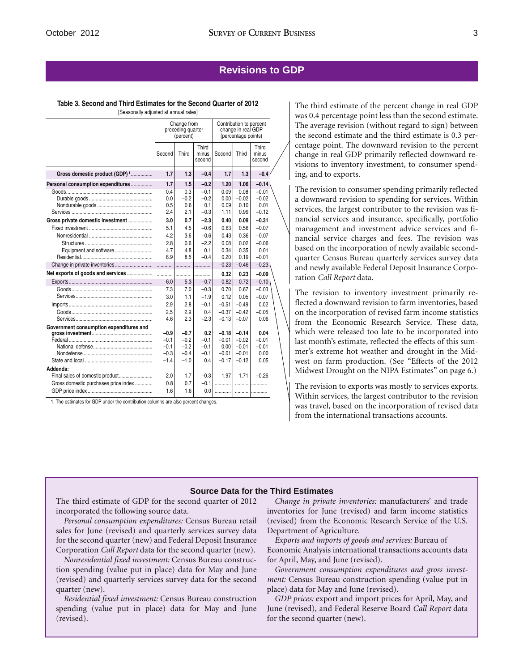#### **Revisions to GDP**

#### **Table 3. Second and Third Estimates for the Second Quarter of 2012**

[Seasonally adjusted at annual rates]

|                                           | Change from<br>Contribution to percent<br>preceding quarter<br>change in real GDP<br>(percentage points)<br>(percent) |                  |                          |                 |                    |                          |  |
|-------------------------------------------|-----------------------------------------------------------------------------------------------------------------------|------------------|--------------------------|-----------------|--------------------|--------------------------|--|
|                                           | Second                                                                                                                | Third            | Third<br>minus<br>second | Second          | Third              | Third<br>minus<br>second |  |
| Gross domestic product (GDP) <sup>1</sup> | 1.7                                                                                                                   | 1.3              | $-0.4$                   | 1.7             | 1.3                | $-0.4$                   |  |
| Personal consumption expenditures         | 1.7                                                                                                                   | 1.5              | $-0.2$                   | 1.20            | 1.06               | $-0.14$                  |  |
|                                           | 0.4                                                                                                                   | 0.3              | $-0.1$                   | 0.09            | 0.08               | $-0.01$                  |  |
|                                           | 0.0                                                                                                                   | $-0.2$           | $-0.2$                   | 0.00            | $-0.02$            | $-0.02$                  |  |
|                                           | 0.5                                                                                                                   | 0.6              | 0.1                      | 0.09            | 0.10               | 0.01                     |  |
|                                           | 2.4                                                                                                                   | 2.1              | $-0.3$                   | 1.11            | 0.99               | $-0.12$                  |  |
| Gross private domestic investment         | 3.0                                                                                                                   | 0.7              | $-2.3$                   | 0.40            | 0.09               | $-0.31$                  |  |
|                                           | 5.1                                                                                                                   | 4.5              | $-0.6$                   | 0.63            | 0.56               | $-0.07$                  |  |
|                                           | 4.2                                                                                                                   | 3.6              | $-0.6$                   | 0.43            | 0.36               | $-0.07$                  |  |
|                                           | 2.8                                                                                                                   | 0.6              | $-2.2$                   | 0.08            | 0.02               | $-0.06$                  |  |
| Equipment and software                    | 4.7                                                                                                                   | 4.8              | 0.1                      | 0.34            | 0.35               | 0.01                     |  |
|                                           | 8.9                                                                                                                   | 8.5              | $-0.4$                   | 0.20            | 0.19               | $-0.01$                  |  |
|                                           |                                                                                                                       |                  |                          | $-0.23$         | $-0.46$            | $-0.23$                  |  |
| Net exports of goods and services         | .                                                                                                                     | .                |                          | 0.32            | 0.23               | $-0.09$                  |  |
|                                           | 6.0                                                                                                                   | 5.3              | $-0.7$                   | 0.82            | 0.72               | $-0.10$                  |  |
|                                           | 7.3                                                                                                                   | 7.0              | $-0.3$                   | 0.70            | 0.67               | $-0.03$                  |  |
|                                           | 3.0                                                                                                                   | 1.1              | $-1.9$                   | 0.12            | 0.05               | $-0.07$                  |  |
|                                           | 2.9                                                                                                                   | 2.8              | $-0.1$                   | $-0.51$         | $-0.49$            | 0.02                     |  |
|                                           | 2.5                                                                                                                   | 2.9              | 0.4                      | $-0.37$         | $-0.42$            | $-0.05$                  |  |
|                                           | 4.6                                                                                                                   | 2.3              | $-2.3$                   | $-0.13$         | $-0.07$            | 0.06                     |  |
| Government consumption expenditures and   |                                                                                                                       |                  |                          |                 |                    |                          |  |
|                                           | $-0.9$                                                                                                                | $-0.7$           | 0.2                      | $-0.18$         | $-0.14$            | 0.04                     |  |
|                                           | $-0.1$<br>$-0.1$                                                                                                      | $-0.2$<br>$-0.2$ | $-0.1$<br>$-0.1$         | $-0.01$<br>0.00 | $-0.02$<br>$-0.01$ | $-0.01$<br>$-0.01$       |  |
|                                           | $-0.3$                                                                                                                | $-0.4$           | $-0.1$                   | $-0.01$         | $-0.01$            | 0.00                     |  |
|                                           | $-1.4$                                                                                                                | $-1.0$           | 0.4                      | $-0.17$         | $-0.12$            | 0.05                     |  |
| Addenda:                                  |                                                                                                                       |                  |                          |                 |                    |                          |  |
|                                           | 2.0                                                                                                                   | 1.7              | $-0.3$                   | 1.97            | 1.71               | $-0.26$                  |  |
| Gross domestic purchases price index      | 0.8                                                                                                                   | 0.7              | $-0.1$                   | .               |                    |                          |  |
|                                           | 1.6                                                                                                                   | 1.6              | 0.0                      | .               |                    |                          |  |

1. The estimates for GDP under the contribution columns are also percent changes.

The third estimate of the percent change in real GDP was 0.4 percentage point less than the second estimate. The average revision (without regard to sign) between the second estimate and the third estimate is 0.3 percentage point. The downward revision to the percent change in real GDP primarily reflected downward revisions to inventory investment, to consumer spending, and to exports.

The revision to consumer spending primarily reflected a downward revision to spending for services. Within services, the largest contributor to the revision was financial services and insurance, specifically, portfolio management and investment advice services and financial service charges and fees. The revision was based on the incorporation of newly available secondquarter Census Bureau quarterly services survey data and newly available Federal Deposit Insurance Corporation *Call Report* data.

The revision to inventory investment primarily reflected a downward revision to farm inventories, based on the incorporation of revised farm income statistics from the Economic Research Service. These data, which were released too late to be incorporated into last month's estimate, reflected the effects of this summer's extreme hot weather and drought in the Midwest on farm production. (See "Effects of the 2012 Midwest Drought on the NIPA Estimates" on page 6.)

The revision to exports was mostly to services exports. Within services, the largest contributor to the revision was travel, based on the incorporation of revised data from the international transactions accounts.

#### **Source Data for the Third Estimates**

The third estimate of GDP for the second quarter of 2012 incorporated the following source data.

*Personal consumption expenditures:* Census Bureau retail sales for June (revised) and quarterly services survey data for the second quarter (new) and Federal Deposit Insurance Corporation *Call Report* data for the second quarter (new).

*Nonresidential fixed investment:* Census Bureau construction spending (value put in place) data for May and June (revised) and quarterly services survey data for the second quarter (new).

*Residential fixed investment:* Census Bureau construction spending (value put in place) data for May and June (revised).

*Change in private inventories:* manufacturers' and trade inventories for June (revised) and farm income statistics (revised) from the Economic Research Service of the U.S. Department of Agriculture.

*Exports and imports of goods and services:* Bureau of Economic Analysis international transactions accounts data for April, May, and June (revised).

*Government consumption expenditures and gross investment:* Census Bureau construction spending (value put in place) data for May and June (revised).

*GDP prices:* export and import prices for April, May, and June (revised), and Federal Reserve Board *Call Report* data for the second quarter (new).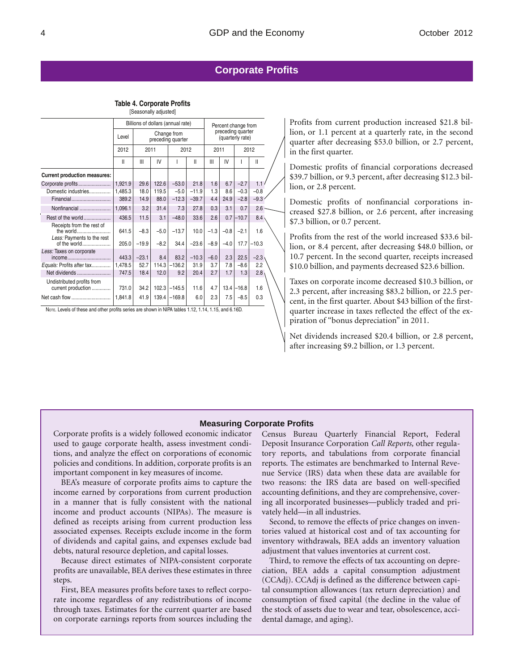### **Corporate Profits**

**Table 4. Corporate Profits** [Seasonally adjusted]

| $\sim$                                           |                                           |                                   |        |                     |         |        |                                       |               |         |  |
|--------------------------------------------------|-------------------------------------------|-----------------------------------|--------|---------------------|---------|--------|---------------------------------------|---------------|---------|--|
|                                                  |                                           | Billions of dollars (annual rate) |        | Percent change from |         |        |                                       |               |         |  |
|                                                  | Change from<br>Level<br>preceding quarter |                                   |        |                     |         |        | preceding quarter<br>(quarterly rate) |               |         |  |
|                                                  | 2012                                      | 2011                              |        | 2012                |         | 2011   |                                       | 2012          |         |  |
|                                                  | Ш                                         | Ш                                 | IV     |                     | Ш       | Ш      | IV                                    |               | Ш       |  |
| <b>Current production measures:</b>              |                                           |                                   |        |                     |         |        |                                       |               |         |  |
| Corporate profits                                | 1,921.9                                   | 29.6                              | 122.6  | $-53.0$             | 21.8    | 1.6    | 6.7                                   | $-2.7$        | 1.1     |  |
| Domestic industries                              | 1,485.3                                   | 18.0                              | 119.5  | $-5.0$              | $-11.9$ | 1.3    | 8.6                                   | $-0.3$        | $-0.8$  |  |
| Financial                                        | 389.2                                     | 14.9                              | 88.0   | $-12.3$             | $-39.7$ | 4.4    | 24.9                                  | $-2.8$        | $-9.3$  |  |
| Nonfinancial                                     | 1,096.1                                   | 3.2                               | 31.4   | 7.3                 | 27.8    | 0.3    | 3.1                                   | 0.7           | 2.6     |  |
| f.<br>Rest of the world                          | 436.5                                     | 11.5                              | 3.1    | $-48.0$             | 33.6    | 2.6    |                                       | $0.7 - 10.7$  | 8.4     |  |
| Receipts from the rest of<br>the world           | 641.5                                     | $-8.3$                            | $-5.0$ | $-13.7$             | 10.0    | $-1.3$ | $-0.8$                                | $-2.1$        | 1.6     |  |
| Less: Payments to the rest<br>of the world       | 205.0                                     | $-19.9$                           | $-8.2$ | 34.4                | $-23.6$ | $-8.9$ | $-4.0$                                | 17.7          | $-10.3$ |  |
| Less: Taxes on corporate<br>income               | 443.3                                     | $-23.1$                           | 8.4    | 83.2                | $-10.3$ | $-6.0$ | 2.3                                   | 22.5          | $-2.3$  |  |
| Equals: Profits after tax                        | 1,478.5                                   | 52.7                              | 114.3  | $-136.2$            | 31.9    | 3.7    | 7.8                                   | $-8.6$        | 2.2     |  |
| Net dividends                                    | 747.5                                     | 18.4                              | 12.0   | 9.2                 | 20.4    | 2.7    | 1.7                                   | 1.3           | 2.8     |  |
| Undistributed profits from<br>current production | 731.0                                     | 34.2                              | 102.3  | $-145.5$            | 11.6    | 4.7    |                                       | $13.4 - 16.8$ | 1.6     |  |
|                                                  | 1.841.8                                   | 41.9                              | 139.4  | $-169.8$            | 6.0     | 2.3    | 7.5                                   | $-8.5$        | 0.3     |  |

NOTE. Levels of these and other profits series are shown in NIPA tables 1.12, 1.14, 1.15, and 6.16D.

Profits from current production increased \$21.8 billion, or 1.1 percent at a quarterly rate, in the second quarter after decreasing \$53.0 billion, or 2.7 percent, in the first quarter.

Domestic profits of financial corporations decreased \$39.7 billion, or 9.3 percent, after decreasing \$12.3 billion, or 2.8 percent.

Domestic profits of nonfinancial corporations increased \$27.8 billion, or 2.6 percent, after increasing \$7.3 billion, or 0.7 percent.

Profits from the rest of the world increased \$33.6 billion, or 8.4 percent, after decreasing \$48.0 billion, or 10.7 percent. In the second quarter, receipts increased \$10.0 billion, and payments decreased \$23.6 billion.

Taxes on corporate income decreased \$10.3 billion, or 2.3 percent, after increasing \$83.2 billion, or 22.5 percent, in the first quarter. About \$43 billion of the firstquarter increase in taxes reflected the effect of the expiration of "bonus depreciation" in 2011.

Net dividends increased \$20.4 billion, or 2.8 percent, after increasing \$9.2 billion, or 1.3 percent.

#### **Measuring Corporate Profits**

Corporate profits is a widely followed economic indicator used to gauge corporate health, assess investment conditions, and analyze the effect on corporations of economic policies and conditions. In addition, corporate profits is an important component in key measures of income.

BEA's measure of corporate profits aims to capture the income earned by corporations from current production in a manner that is fully consistent with the national income and product accounts (NIPAs). The measure is defined as receipts arising from current production less associated expenses. Receipts exclude income in the form of dividends and capital gains, and expenses exclude bad debts, natural resource depletion, and capital losses.

Because direct estimates of NIPA-consistent corporate profits are unavailable, BEA derives these estimates in three steps.

First, BEA measures profits before taxes to reflect corporate income regardless of any redistributions of income through taxes. Estimates for the current quarter are based on corporate earnings reports from sources including the Census Bureau Quarterly Financial Report, Federal Deposit Insurance Corporation *Call Reports,* other regulatory reports, and tabulations from corporate financial reports. The estimates are benchmarked to Internal Revenue Service (IRS) data when these data are available for two reasons: the IRS data are based on well-specified accounting definitions, and they are comprehensive, covering all incorporated businesses—publicly traded and privately held—in all industries.

Second, to remove the effects of price changes on inventories valued at historical cost and of tax accounting for inventory withdrawals, BEA adds an inventory valuation adjustment that values inventories at current cost.

Third, to remove the effects of tax accounting on depreciation, BEA adds a capital consumption adjustment (CCAdj). CCAdj is defined as the difference between capital consumption allowances (tax return depreciation) and consumption of fixed capital (the decline in the value of the stock of assets due to wear and tear, obsolescence, accidental damage, and aging).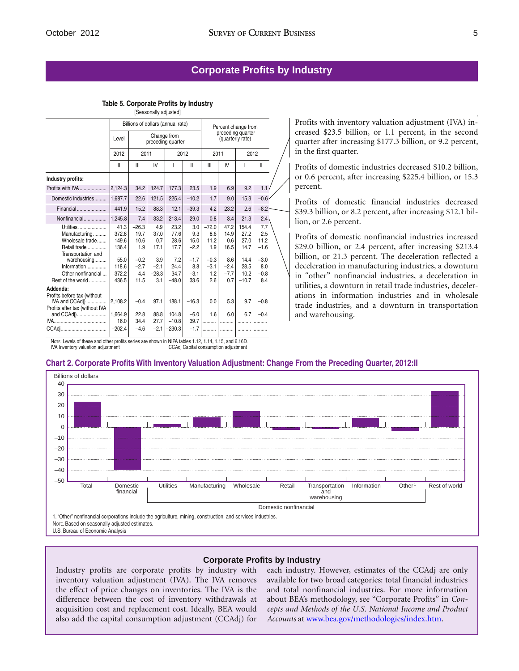,

### **Corporate Profits by Industry**

**Table 5. Corporate Profits by Industry**

| [Seasonally adjusted]                                     |                        |                                  |                    |                                   |                     |                        |                                       |                       |                    |  |
|-----------------------------------------------------------|------------------------|----------------------------------|--------------------|-----------------------------------|---------------------|------------------------|---------------------------------------|-----------------------|--------------------|--|
|                                                           |                        |                                  |                    | Billions of dollars (annual rate) | Percent change from |                        |                                       |                       |                    |  |
|                                                           | Level                  | Change from<br>preceding quarter |                    |                                   |                     |                        | preceding quarter<br>(quarterly rate) |                       |                    |  |
|                                                           | 2012                   |                                  | 2011               |                                   | 2012                | 2011                   |                                       | 2012                  |                    |  |
|                                                           | Ш                      | Ш                                | IV                 | ı                                 | Ш                   | Ш                      | IV                                    | I                     | $\mathsf{II}$      |  |
| Industry profits:                                         |                        |                                  |                    |                                   |                     |                        |                                       |                       |                    |  |
| Profits with IVA                                          | 2,124.3                | 34.2                             | 124.7              | 177.3                             | 23.5                | 1.9                    | 6.9                                   | 9.2                   | 1.1                |  |
| Domestic industries                                       | 1.687.7                | 22.6                             | 121.5              | 225.4                             | $-10.2$             | 1.7                    | 9.0                                   | 15.3                  | $-0.6$             |  |
| Financial                                                 | 441.9                  | 15.2                             | 88.3               | 12.1                              | $-39.3$             | 4.2                    | 23.2                                  | 2.6                   | $-8.2$             |  |
| Nonfinancial                                              | 1,245.8                | 7.4                              | 33.2               | 213.4                             | 29.0                | 0.8                    | 3.4                                   | 21.3                  | 2.4                |  |
| Utilities<br>Manufacturing<br>Wholesale trade             | 41.3<br>372.8<br>149.6 | $-26.3$<br>19.7<br>10.6          | 4.9<br>37.0<br>0.7 | 23.2<br>77.6<br>28.6              | 3.0<br>9.3<br>15.0  | $-72.0$<br>8.6<br>11.2 | 47.2<br>14.9<br>0.6                   | 154.4<br>27.2<br>27.0 | 7.7<br>2.5<br>11.2 |  |
| Retail trade<br>Transportation and                        | 136.4                  | 1.9                              | 17.1               | 17.7                              | $-2.2$              | 1.9                    | 16.5                                  | 14.7                  | $-1.6$             |  |
| warehousing<br>Information                                | 55.0<br>118.6          | $-0.2$<br>$-2.7$                 | 3.9<br>$-2.1$      | 7.2<br>24.4                       | $-1.7$<br>8.8       | $-0.3$<br>$-3.1$       | 8.6<br>$-2.4$                         | 14.4<br>28.5          | $-3.0$<br>8.0      |  |
| Other nonfinancial<br>Rest of the world                   | 372.2<br>436.5         | 4.4<br>11.5                      | $-28.3$<br>3.1     | 34.7<br>$-48.0$                   | $-3.1$<br>33.6      | 1.2<br>2.6             | $-7.7$<br>0.7                         | 10.2<br>$-10.7$       | $-0.8$<br>8.4      |  |
| Addenda:<br>Profits before tax (without<br>IVA and CCAdi) | 2,108.2                | $-0.4$                           | 97.1               | 188.1                             | $-16.3$             | 0.0                    | 5.3                                   | 9.7                   | $-0.8$             |  |
| Profits after tax (without IVA<br>and CCAdj)              | 1,664.9<br>16.0        | 22.8<br>34.4                     | 88.8<br>27.7       | 104.8<br>$-10.8$                  | $-6.0$<br>39.7      | 1.6                    | 6.0<br>.                              | 6.7                   | $-0.4$             |  |
| CCAdi                                                     | $-202.4$               | $-4.6$                           | $-2.1$             | $-230.3$                          | $-1.7$              | .                      |                                       |                       |                    |  |

Nore. Levels of these and other profits series are shown in NIPA tables 1.12, 1.14, 1.15, and 6.16D.<br>IVA Inventory valuation adjustment CCAdj Capital consumption adjustment

IVA Inventory valuation adjustment

Profits with inventory valuation adjustment (IVA) increased \$23.5 billion, or 1.1 percent, in the second quarter after increasing \$177.3 billion, or 9.2 percent, in the first quarter.

Profits of domestic industries decreased \$10.2 billion, or 0.6 percent, after increasing \$225.4 billion, or 15.3 percent.

Profits of domestic financial industries decreased \$39.3 billion, or 8.2 percent, after increasing \$12.1 billion, or 2.6 percent.

Profits of domestic nonfinancial industries increased \$29.0 billion, or 2.4 percent, after increasing \$213.4 billion, or 21.3 percent. The deceleration reflected a deceleration in manufacturing industries, a downturn in "other" nonfinancial industries, a deceleration in utilities, a downturn in retail trade industries, decelerations in information industries and in wholesale trade industries, and a downturn in transportation and warehousing.

#### **Chart 2. Corporate Profits With Inventory Valuation Adjustment: Change From the Preceding Quarter, 2012:II**



#### **Corporate Profits by Industry**

Industry profits are corporate profits by industry with inventory valuation adjustment (IVA). The IVA removes the effect of price changes on inventories. The IVA is the difference between the cost of inventory withdrawals at acquisition cost and replacement cost. Ideally, BEA would also add the capital consumption adjustment (CCAdj) for each industry. However, estimates of the CCAdj are only available for two broad categories: total financial industries and total nonfinancial industries. For more information about BEA's methodology, see "Corporate Profits" in *Concepts and Methods of the U.S. National Income and Product Accounts* at [www.bea.gov/methodologies/index.htm.](www.bea.gov/methodologies/index.htm)